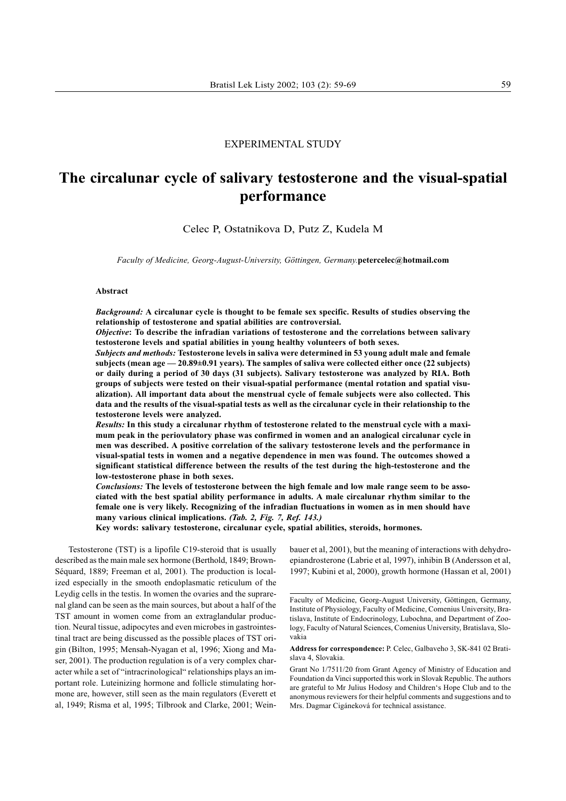# EXPERIMENTAL STUDY

# The circalunar cycle of salivary testosterone and the visual-spatial performance

Celec P, Ostatnikova D, Putz Z, Kudela M

Faculty of Medicine, Georg-August-University, Göttingen, Germany.petercelec@hotmail.com

#### Abstract

Background: A circalunar cycle is thought to be female sex specific. Results of studies observing the relationship of testosterone and spatial abilities are controversial.

Objective: To describe the infradian variations of testosterone and the correlations between salivary testosterone levels and spatial abilities in young healthy volunteers of both sexes.

Subjects and methods: Testosterone levels in saliva were determined in 53 young adult male and female subjects (mean age  $-20.89\pm0.91$  years). The samples of saliva were collected either once (22 subjects) or daily during a period of 30 days (31 subjects). Salivary testosterone was analyzed by RIA. Both groups of subjects were tested on their visual-spatial performance (mental rotation and spatial visualization). All important data about the menstrual cycle of female subjects were also collected. This data and the results of the visual-spatial tests as well as the circalunar cycle in their relationship to the testosterone levels were analyzed.

Results: In this study a circalunar rhythm of testosterone related to the menstrual cycle with a maximum peak in the periovulatory phase was confirmed in women and an analogical circalunar cycle in men was described. A positive correlation of the salivary testosterone levels and the performance in visual-spatial tests in women and a negative dependence in men was found. The outcomes showed a significant statistical difference between the results of the test during the high-testosterone and the low-testosterone phase in both sexes.

Conclusions: The levels of testosterone between the high female and low male range seem to be associated with the best spatial ability performance in adults. A male circalunar rhythm similar to the female one is very likely. Recognizing of the infradian fluctuations in women as in men should have many various clinical implications. (Tab. 2, Fig. 7, Ref. 143.)

Key words: salivary testosterone, circalunar cycle, spatial abilities, steroids, hormones.

Testosterone (TST) is a lipofile C19-steroid that is usually described as the main male sex hormone (Berthold, 1849; Brown-Séquard, 1889; Freeman et al, 2001). The production is localized especially in the smooth endoplasmatic reticulum of the Leydig cells in the testis. In women the ovaries and the suprarenal gland can be seen as the main sources, but about a half of the TST amount in women come from an extraglandular production. Neural tissue, adipocytes and even microbes in gastrointestinal tract are being discussed as the possible places of TST origin (Bilton, 1995; Mensah-Nyagan et al, 1996; Xiong and Maser, 2001). The production regulation is of a very complex character while a set of "intracrinological" relationships plays an important role. Luteinizing hormone and follicle stimulating hormone are, however, still seen as the main regulators (Everett et al, 1949; Risma et al, 1995; Tilbrook and Clarke, 2001; Weinbauer et al, 2001), but the meaning of interactions with dehydroepiandrosterone (Labrie et al, 1997), inhibin B (Andersson et al, 1997; Kubini et al, 2000), growth hormone (Hassan et al, 2001)

Address for correspondence: P. Celec, Galbaveho 3, SK-841 02 Bratislava 4, Slovakia.

Grant No 1/7511/20 from Grant Agency of Ministry of Education and Foundation da Vinci supported this work in Slovak Republic. The authors are grateful to Mr Julius Hodosy and Children's Hope Club and to the anonymous reviewers for their helpful comments and suggestions and to Mrs. Dagmar Cigáneková for technical assistance.

Faculty of Medicine, Georg-August University, Göttingen, Germany, Institute of Physiology, Faculty of Medicine, Comenius University, Bratislava, Institute of Endocrinology, Lubochna, and Department of Zoology, Faculty of Natural Sciences, Comenius University, Bratislava, Slovakia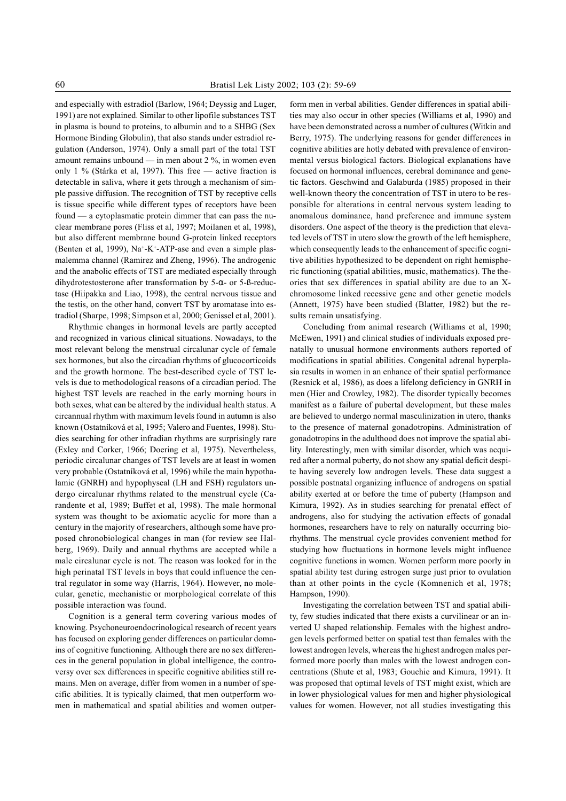and especially with estradiol (Barlow, 1964; Deyssig and Luger, 1991) are not explained. Similar to other lipofile substances TST in plasma is bound to proteins, to albumin and to a SHBG (Sex Hormone Binding Globulin), that also stands under estradiol regulation (Anderson, 1974). Only a small part of the total TST amount remains unbound  $\frac{1}{\sqrt{2}}$  in men about 2 %, in women even only 1 % (Stárka et al, 1997). This free - active fraction is detectable in saliva, where it gets through a mechanism of simple passive diffusion. The recognition of TST by receptive cells is tissue specific while different types of receptors have been found  $-$  a cytoplasmatic protein dimmer that can pass the nuclear membrane pores (Fliss et al, 1997; Moilanen et al, 1998), but also different membrane bound G-protein linked receptors (Benten et al, 1999),  $Na^+$ -K<sup>+</sup>-ATP-ase and even a simple plasmalemma channel (Ramirez and Zheng, 1996). The androgenic and the anabolic effects of TST are mediated especially through dihydrotestosterone after transformation by 5-α- or 5-ß-reductase (Hiipakka and Liao, 1998), the central nervous tissue and the testis, on the other hand, convert TST by aromatase into estradiol (Sharpe, 1998; Simpson et al, 2000; Genissel et al, 2001).

Rhythmic changes in hormonal levels are partly accepted and recognized in various clinical situations. Nowadays, to the most relevant belong the menstrual circalunar cycle of female sex hormones, but also the circadian rhythms of glucocorticoids and the growth hormone. The best-described cycle of TST levels is due to methodological reasons of a circadian period. The highest TST levels are reached in the early morning hours in both sexes, what can be altered by the individual health status. A circannual rhythm with maximum levels found in autumn is also known (Ostatníková et al, 1995; Valero and Fuentes, 1998). Studies searching for other infradian rhythms are surprisingly rare (Exley and Corker, 1966; Doering et al, 1975). Nevertheless, periodic circalunar changes of TST levels are at least in women very probable (Ostatníková et al, 1996) while the main hypothalamic (GNRH) and hypophyseal (LH and FSH) regulators undergo circalunar rhythms related to the menstrual cycle (Carandente et al, 1989; Buffet et al, 1998). The male hormonal system was thought to be axiomatic acyclic for more than a century in the majority of researchers, although some have proposed chronobiological changes in man (for review see Halberg, 1969). Daily and annual rhythms are accepted while a male circalunar cycle is not. The reason was looked for in the high perinatal TST levels in boys that could influence the central regulator in some way (Harris, 1964). However, no molecular, genetic, mechanistic or morphological correlate of this possible interaction was found.

Cognition is a general term covering various modes of knowing. Psychoneuroendocrinological research of recent years has focused on exploring gender differences on particular domains of cognitive functioning. Although there are no sex differences in the general population in global intelligence, the controversy over sex differences in specific cognitive abilities still remains. Men on average, differ from women in a number of specific abilities. It is typically claimed, that men outperform women in mathematical and spatial abilities and women outper-

form men in verbal abilities. Gender differences in spatial abilities may also occur in other species (Williams et al, 1990) and have been demonstrated across a number of cultures (Witkin and Berry, 1975). The underlying reasons for gender differences in cognitive abilities are hotly debated with prevalence of environmental versus biological factors. Biological explanations have focused on hormonal influences, cerebral dominance and genetic factors. Geschwind and Galaburda (1985) proposed in their well-known theory the concentration of TST in utero to be responsible for alterations in central nervous system leading to anomalous dominance, hand preference and immune system disorders. One aspect of the theory is the prediction that elevated levels of TST in utero slow the growth of the left hemisphere, which consequently leads to the enhancement of specific cognitive abilities hypothesized to be dependent on right hemispheric functioning (spatial abilities, music, mathematics). The theories that sex differences in spatial ability are due to an Xchromosome linked recessive gene and other genetic models (Annett, 1975) have been studied (Blatter, 1982) but the results remain unsatisfying.

Concluding from animal research (Williams et al, 1990; McEwen, 1991) and clinical studies of individuals exposed prenatally to unusual hormone environments authors reported of modifications in spatial abilities. Congenital adrenal hyperplasia results in women in an enhance of their spatial performance (Resnick et al, 1986), as does a lifelong deficiency in GNRH in men (Hier and Crowley, 1982). The disorder typically becomes manifest as a failure of pubertal development, but these males are believed to undergo normal masculinization in utero, thanks to the presence of maternal gonadotropins. Administration of gonadotropins in the adulthood does not improve the spatial ability. Interestingly, men with similar disorder, which was acquired after a normal puberty, do not show any spatial deficit despite having severely low androgen levels. These data suggest a possible postnatal organizing influence of androgens on spatial ability exerted at or before the time of puberty (Hampson and Kimura, 1992). As in studies searching for prenatal effect of androgens, also for studying the activation effects of gonadal hormones, researchers have to rely on naturally occurring biorhythms. The menstrual cycle provides convenient method for studying how fluctuations in hormone levels might influence cognitive functions in women. Women perform more poorly in spatial ability test during estrogen surge just prior to ovulation than at other points in the cycle (Komnenich et al, 1978; Hampson, 1990).

Investigating the correlation between TST and spatial ability, few studies indicated that there exists a curvilinear or an inverted U shaped relationship. Females with the highest androgen levels performed better on spatial test than females with the lowest androgen levels, whereas the highest androgen males performed more poorly than males with the lowest androgen concentrations (Shute et al, 1983; Gouchie and Kimura, 1991). It was proposed that optimal levels of TST might exist, which are in lower physiological values for men and higher physiological values for women. However, not all studies investigating this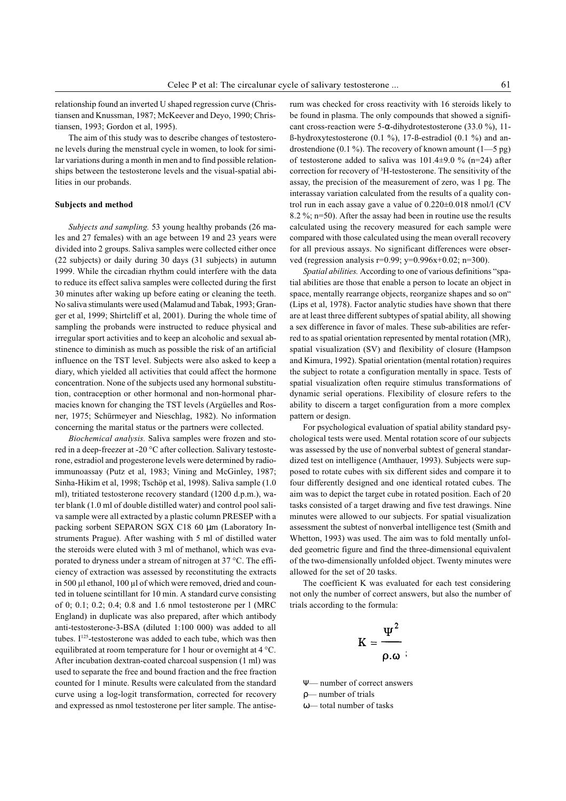relationship found an inverted U shaped regression curve (Christiansen and Knussman, 1987; McKeever and Deyo, 1990; Christiansen, 1993; Gordon et al, 1995).

The aim of this study was to describe changes of testosterone levels during the menstrual cycle in women, to look for similar variations during a month in men and to find possible relationships between the testosterone levels and the visual-spatial abilities in our probands.

#### Subjects and method

Subjects and sampling. 53 young healthy probands (26 males and 27 females) with an age between 19 and 23 years were divided into 2 groups. Saliva samples were collected either once (22 subjects) or daily during 30 days (31 subjects) in autumn 1999. While the circadian rhythm could interfere with the data to reduce its effect saliva samples were collected during the first 30 minutes after waking up before eating or cleaning the teeth. No saliva stimulants were used (Malamud and Tabak, 1993; Granger et al, 1999; Shirtcliff et al, 2001). During the whole time of sampling the probands were instructed to reduce physical and irregular sport activities and to keep an alcoholic and sexual abstinence to diminish as much as possible the risk of an artificial influence on the TST level. Subjects were also asked to keep a diary, which yielded all activities that could affect the hormone concentration. None of the subjects used any hormonal substitution, contraception or other hormonal and non-hormonal pharmacies known for changing the TST levels (Argüelles and Rosner, 1975; Schürmeyer and Nieschlag, 1982). No information concerning the marital status or the partners were collected.

Biochemical analysis. Saliva samples were frozen and stored in a deep-freezer at -20 °C after collection. Salivary testosterone, estradiol and progesterone levels were determined by radioimmunoassay (Putz et al, 1983; Vining and McGinley, 1987; Sinha-Hikim et al, 1998; Tschöp et al, 1998). Saliva sample (1.0 ml), tritiated testosterone recovery standard (1200 d.p.m.), water blank (1.0 ml of double distilled water) and control pool saliva sample were all extracted by a plastic column PRESEP with a packing sorbent SEPARON SGX C18 60 µm (Laboratory Instruments Prague). After washing with 5 ml of distilled water the steroids were eluted with 3 ml of methanol, which was evaporated to dryness under a stream of nitrogen at 37 °C. The efficiency of extraction was assessed by reconstituting the extracts in 500 µl ethanol, 100 µl of which were removed, dried and counted in toluene scintillant for 10 min. A standard curve consisting of 0; 0.1; 0.2; 0.4; 0.8 and 1.6 nmol testosterone per l (MRC England) in duplicate was also prepared, after which antibody anti-testosterone-3-BSA (diluted 1:100 000) was added to all tubes. I<sup>125</sup>-testosterone was added to each tube, which was then equilibrated at room temperature for 1 hour or overnight at 4 °C. After incubation dextran-coated charcoal suspension (1 ml) was used to separate the free and bound fraction and the free fraction counted for 1 minute. Results were calculated from the standard curve using a log-logit transformation, corrected for recovery and expressed as nmol testosterone per liter sample. The antiserum was checked for cross reactivity with 16 steroids likely to be found in plasma. The only compounds that showed a significant cross-reaction were 5- $\alpha$ -dihydrotestosterone (33.0 %), 11- $\beta$ -hydroxytestosterone (0.1 %), 17- $\beta$ -estradiol (0.1 %) and androstendione (0.1 %). The recovery of known amount  $(1-5 \text{ pg})$ of testosterone added to saliva was  $101.4\pm9.0$  % (n=24) after correction for recovery of 3 H-testosterone. The sensitivity of the assay, the precision of the measurement of zero, was 1 pg. The interassay variation calculated from the results of a quality control run in each assay gave a value of 0.220±0.018 nmol/l (CV 8.2 %; n=50). After the assay had been in routine use the results calculated using the recovery measured for each sample were compared with those calculated using the mean overall recovery for all previous assays. No significant differences were observed (regression analysis r=0.99; y=0.996x+0.02; n=300).

Spatial abilities. According to one of various definitions "spatial abilities are those that enable a person to locate an object in space, mentally rearrange objects, reorganize shapes and so on" (Lips et al, 1978). Factor analytic studies have shown that there are at least three different subtypes of spatial ability, all showing a sex difference in favor of males. These sub-abilities are referred to as spatial orientation represented by mental rotation (MR), spatial visualization (SV) and flexibility of closure (Hampson and Kimura, 1992). Spatial orientation (mental rotation) requires the subject to rotate a configuration mentally in space. Tests of spatial visualization often require stimulus transformations of dynamic serial operations. Flexibility of closure refers to the ability to discern a target configuration from a more complex pattern or design.

For psychological evaluation of spatial ability standard psychological tests were used. Mental rotation score of our subjects was assessed by the use of nonverbal subtest of general standardized test on intelligence (Amthauer, 1993). Subjects were supposed to rotate cubes with six different sides and compare it to four differently designed and one identical rotated cubes. The aim was to depict the target cube in rotated position. Each of 20 tasks consisted of a target drawing and five test drawings. Nine minutes were allowed to our subjects. For spatial visualization assessment the subtest of nonverbal intelligence test (Smith and Whetton, 1993) was used. The aim was to fold mentally unfolded geometric figure and find the three-dimensional equivalent of the two-dimensionally unfolded object. Twenty minutes were allowed for the set of 20 tasks.

The coefficient K was evaluated for each test considering not only the number of correct answers, but also the number of trials according to the formula:

$$
K=\frac{\Psi^2}{\rho.\omega}
$$

Ψ— number of correct answers

ρ number of trials

 $\omega$  total number of tasks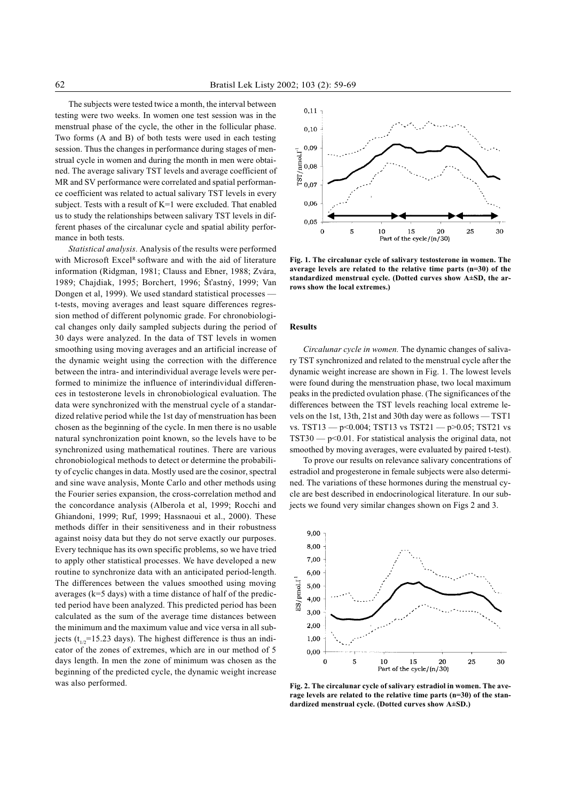The subjects were tested twice a month, the interval between testing were two weeks. In women one test session was in the menstrual phase of the cycle, the other in the follicular phase. Two forms (A and B) of both tests were used in each testing session. Thus the changes in performance during stages of menstrual cycle in women and during the month in men were obtained. The average salivary TST levels and average coefficient of MR and SV performance were correlated and spatial performance coefficient was related to actual salivary TST levels in every subject. Tests with a result of K=1 were excluded. That enabled us to study the relationships between salivary TST levels in different phases of the circalunar cycle and spatial ability performance in both tests.

Statistical analysis. Analysis of the results were performed with Microsoft Excel<sup>R</sup> software and with the aid of literature information (Ridgman, 1981; Clauss and Ebner, 1988; Zvára, 1989; Chajdiak, 1995; Borchert, 1996; Šťastný, 1999; Van Dongen et al, 1999). We used standard statistical processes t-tests, moving averages and least square differences regression method of different polynomic grade. For chronobiological changes only daily sampled subjects during the period of 30 days were analyzed. In the data of TST levels in women smoothing using moving averages and an artificial increase of the dynamic weight using the correction with the difference between the intra- and interindividual average levels were performed to minimize the influence of interindividual differences in testosterone levels in chronobiological evaluation. The data were synchronized with the menstrual cycle of a standardized relative period while the 1st day of menstruation has been chosen as the beginning of the cycle. In men there is no usable natural synchronization point known, so the levels have to be synchronized using mathematical routines. There are various chronobiological methods to detect or determine the probability of cyclic changes in data. Mostly used are the cosinor, spectral and sine wave analysis, Monte Carlo and other methods using the Fourier series expansion, the cross-correlation method and the concordance analysis (Alberola et al, 1999; Rocchi and Ghiandoni, 1999; Ruf, 1999; Hassnaoui et al., 2000). These methods differ in their sensitiveness and in their robustness against noisy data but they do not serve exactly our purposes. Every technique has its own specific problems, so we have tried to apply other statistical processes. We have developed a new routine to synchronize data with an anticipated period-length. The differences between the values smoothed using moving averages (k=5 days) with a time distance of half of the predicted period have been analyzed. This predicted period has been calculated as the sum of the average time distances between the minimum and the maximum value and vice versa in all subjects ( $t_{1/2}$ =15.23 days). The highest difference is thus an indicator of the zones of extremes, which are in our method of 5 days length. In men the zone of minimum was chosen as the beginning of the predicted cycle, the dynamic weight increase was also performed.



Fig. 1. The circalunar cycle of salivary testosterone in women. The average levels are related to the relative time parts (n=30) of the standardized menstrual cycle. (Dotted curves show A±SD, the arrows show the local extremes.)

## Results

Circalunar cycle in women. The dynamic changes of salivary TST synchronized and related to the menstrual cycle after the dynamic weight increase are shown in Fig. 1. The lowest levels were found during the menstruation phase, two local maximum peaks in the predicted ovulation phase. (The significances of the differences between the TST levels reaching local extreme levels on the 1st, 13th, 21st and 30th day were as follows - TST1 vs. TST13  $-$  p<0.004; TST13 vs TST21  $-$  p>0.05; TST21 vs  $TST30 - p \leq 0.01$ . For statistical analysis the original data, not smoothed by moving averages, were evaluated by paired t-test).

To prove our results on relevance salivary concentrations of estradiol and progesterone in female subjects were also determined. The variations of these hormones during the menstrual cycle are best described in endocrinological literature. In our subjects we found very similar changes shown on Figs 2 and 3.



Fig. 2. The circalunar cycle of salivary estradiol in women. The average levels are related to the relative time parts (n=30) of the standardized menstrual cycle. (Dotted curves show A±SD.)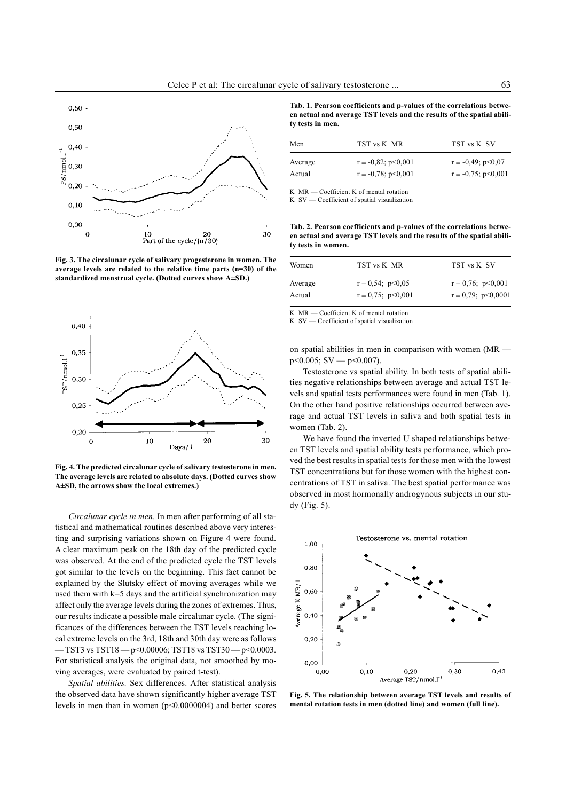

Fig. 3. The circalunar cycle of salivary progesterone in women. The average levels are related to the relative time parts (n=30) of the standardized menstrual cycle. (Dotted curves show A±SD.)



Fig. 4. The predicted circalunar cycle of salivary testosterone in men. The average levels are related to absolute days. (Dotted curves show A±SD, the arrows show the local extremes.)

Circalunar cycle in men. In men after performing of all statistical and mathematical routines described above very interesting and surprising variations shown on Figure 4 were found. A clear maximum peak on the 18th day of the predicted cycle was observed. At the end of the predicted cycle the TST levels got similar to the levels on the beginning. This fact cannot be explained by the Slutsky effect of moving averages while we used them with  $k=5$  days and the artificial synchronization may affect only the average levels during the zones of extremes. Thus, our results indicate a possible male circalunar cycle. (The significances of the differences between the TST levels reaching local extreme levels on the 3rd, 18th and 30th day were as follows  $-$  TST3 vs TST18  $-$  p<0.00006; TST18 vs TST30  $-$  p<0.0003. For statistical analysis the original data, not smoothed by moving averages, were evaluated by paired t-test).

Spatial abilities. Sex differences. After statistical analysis the observed data have shown significantly higher average TST levels in men than in women (p<0.0000004) and better scores

Tab. 1. Pearson coefficients and p-values of the correlations between actual and average TST levels and the results of the spatial ability tests in men.

| TST vs K MR               | TST vs K SV                                           |
|---------------------------|-------------------------------------------------------|
| $r = -0.82$ ; $p < 0.001$ | $r = -0.49$ ; $p < 0.07$<br>$r = -0.75$ ; $p < 0.001$ |
|                           | $r = -0.78$ ; $p < 0.001$                             |

K MR - Coefficient K of mental rotation

K SV - Coefficient of spatial visualization

Tab. 2. Pearson coefficients and p-values of the correlations between actual and average TST levels and the results of the spatial ability tests in women.

| Women   | TST vs K MR              | TST vs K SV               |
|---------|--------------------------|---------------------------|
| Average | $r = 0.54$ ; $p < 0.05$  | $r = 0.76$ ; $p < 0.001$  |
| Actual  | $r = 0.75$ ; $p < 0.001$ | $r = 0.79$ ; $p < 0.0001$ |

K  $MR$   $\sim$  Coefficient K of mental rotation

 $K$   $SV = Coefficient of spatial visualization$ 

on spatial abilities in men in comparison with women (MR  $p \le 0.005$ ; SV —  $p \le 0.007$ ).

Testosterone vs spatial ability. In both tests of spatial abilities negative relationships between average and actual TST levels and spatial tests performances were found in men (Tab. 1). On the other hand positive relationships occurred between average and actual TST levels in saliva and both spatial tests in women (Tab. 2).

We have found the inverted U shaped relationships between TST levels and spatial ability tests performance, which proved the best results in spatial tests for those men with the lowest TST concentrations but for those women with the highest concentrations of TST in saliva. The best spatial performance was observed in most hormonally androgynous subjects in our study (Fig. 5).



Fig. 5. The relationship between average TST levels and results of mental rotation tests in men (dotted line) and women (full line).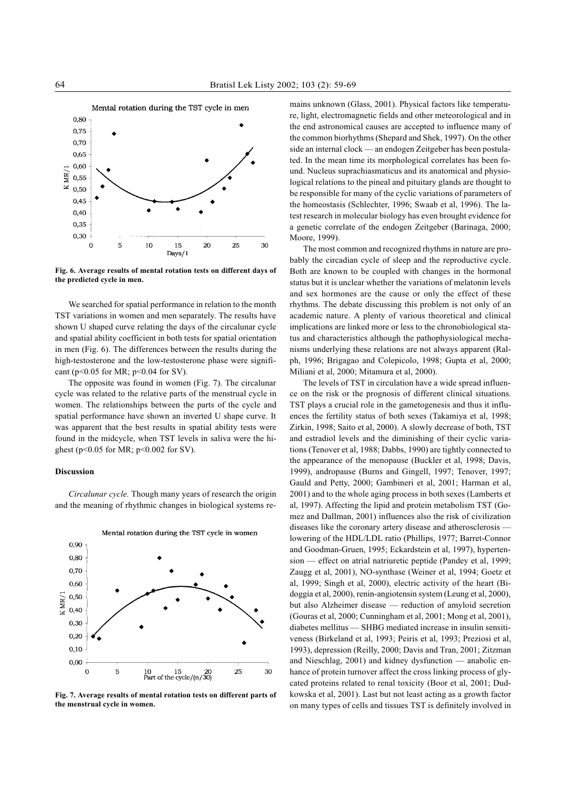

Fig. 6. Average results of mental rotation tests on different days of the predicted cycle in men.

We searched for spatial performance in relation to the month TST variations in women and men separately. The results have shown U shaped curve relating the days of the circalunar cycle and spatial ability coefficient in both tests for spatial orientation in men (Fig. 6). The differences between the results during the high-testosterone and the low-testosterone phase were significant ( $p$ <0.05 for MR;  $p$ <0.04 for SV).

The opposite was found in women (Fig. 7). The circalunar cycle was related to the relative parts of the menstrual cycle in women. The relationships between the parts of the cycle and spatial performance have shown an inverted U shape curve. It was apparent that the best results in spatial ability tests were found in the midcycle, when TST levels in saliva were the highest (p<0.05 for MR; p<0.002 for SV).

### Discussion

Circalunar cycle. Though many years of research the origin and the meaning of rhythmic changes in biological systems re-



Mental rotation during the TST cycle in women

Fig. 7. Average results of mental rotation tests on different parts of the menstrual cycle in women.

mains unknown (Glass, 2001). Physical factors like temperature, light, electromagnetic fields and other meteorological and in the end astronomical causes are accepted to influence many of the common biorhythms (Shepard and Shek, 1997). On the other side an internal clock — an endogen Zeitgeber has been postulated. In the mean time its morphological correlates has been found. Nucleus suprachiasmaticus and its anatomical and physiological relations to the pineal and pituitary glands are thought to be responsible for many of the cyclic variations of parameters of the homeostasis (Schlechter, 1996; Swaab et al, 1996). The latest research in molecular biology has even brought evidence for a genetic correlate of the endogen Zeitgeber (Barinaga, 2000; Moore, 1999).

The most common and recognized rhythms in nature are probably the circadian cycle of sleep and the reproductive cycle. Both are known to be coupled with changes in the hormonal status but it is unclear whether the variations of melatonin levels and sex hormones are the cause or only the effect of these rhythms. The debate discussing this problem is not only of an academic nature. A plenty of various theoretical and clinical implications are linked more or less to the chronobiological status and characteristics although the pathophysiological mechanisms underlying these relations are not always apparent (Ralph, 1996; Brigagao and Colepicolo, 1998; Gupta et al, 2000; Miliani et al, 2000; Mitamura et al, 2000).

The levels of TST in circulation have a wide spread influence on the risk or the prognosis of different clinical situations. TST plays a crucial role in the gametogenesis and thus it influences the fertility status of both sexes (Takamiya et al, 1998; Zirkin, 1998; Saito et al, 2000). A slowly decrease of both, TST and estradiol levels and the diminishing of their cyclic variations (Tenover et al, 1988; Dabbs, 1990) are tightly connected to the appearance of the menopause (Buckler et al, 1998; Davis, 1999), andropause (Burns and Gingell, 1997; Tenover, 1997; Gauld and Petty, 2000; Gambineri et al, 2001; Harman et al, 2001) and to the whole aging process in both sexes (Lamberts et al, 1997). Affecting the lipid and protein metabolism TST (Gomez and Dallman, 2001) influences also the risk of civilization diseases like the coronary artery disease and atherosclerosis lowering of the HDL/LDL ratio (Phillips, 1977; Barret-Connor and Goodman-Gruen, 1995; Eckardstein et al, 1997), hypertension — effect on atrial natriuretic peptide (Pandey et al, 1999; Zaugg et al, 2001), NO-synthase (Weiner et al, 1994; Goetz et al, 1999; Singh et al, 2000), electric activity of the heart (Bidoggia et al, 2000), renin-angiotensin system (Leung et al, 2000), but also Alzheimer disease - reduction of amyloid secretion (Gouras et al, 2000; Cunningham et al, 2001; Mong et al, 2001), diabetes mellitus — SHBG mediated increase in insulin sensitiveness (Birkeland et al, 1993; Peiris et al, 1993; Preziosi et al, 1993), depression (Reilly, 2000; Davis and Tran, 2001; Zitzman and Nieschlag, 2001) and kidney dysfunction — anabolic enhance of protein turnover affect the cross linking process of glycated proteins related to renal toxicity (Boor et al, 2001; Dudkowska et al, 2001). Last but not least acting as a growth factor on many types of cells and tissues TST is definitely involved in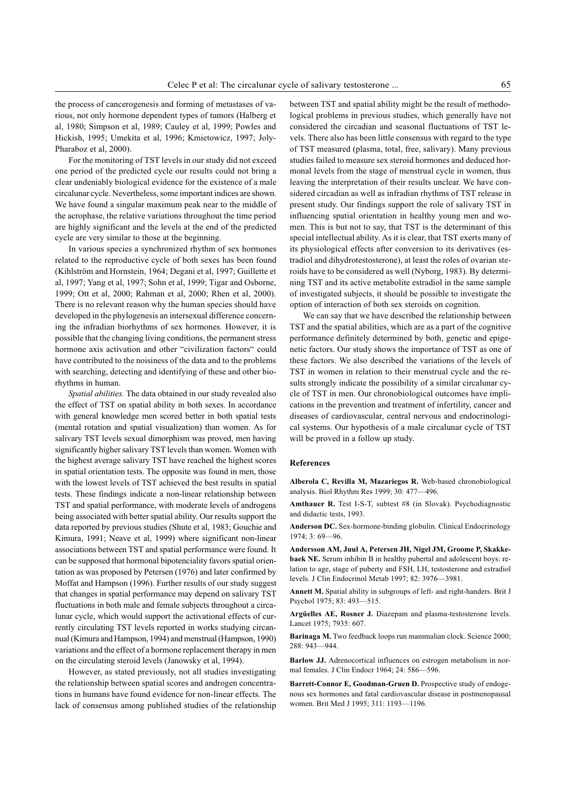the process of cancerogenesis and forming of metastases of various, not only hormone dependent types of tumors (Halberg et al, 1980; Simpson et al, 1989; Cauley et al, 1999; Powles and Hickish, 1995; Umekita et al, 1996; Kmietowicz, 1997; Joly-Pharaboz et al, 2000).

For the monitoring of TST levels in our study did not exceed one period of the predicted cycle our results could not bring a clear undeniably biological evidence for the existence of a male circalunar cycle. Nevertheless, some important indices are shown. We have found a singular maximum peak near to the middle of the acrophase, the relative variations throughout the time period are highly significant and the levels at the end of the predicted cycle are very similar to those at the beginning.

In various species a synchronized rhythm of sex hormones related to the reproductive cycle of both sexes has been found (Kihlström and Hornstein, 1964; Degani et al, 1997; Guillette et al, 1997; Yang et al, 1997; Sohn et al, 1999; Tigar and Osborne, 1999; Ott et al, 2000; Rahman et al, 2000; Rhen et al, 2000). There is no relevant reason why the human species should have developed in the phylogenesis an intersexual difference concerning the infradian biorhythms of sex hormones. However, it is possible that the changing living conditions, the permanent stress hormone axis activation and other "civilization factors" could have contributed to the noisiness of the data and to the problems with searching, detecting and identifying of these and other biorhythms in human.

Spatial abilities. The data obtained in our study revealed also the effect of TST on spatial ability in both sexes. In accordance with general knowledge men scored better in both spatial tests (mental rotation and spatial visualization) than women. As for salivary TST levels sexual dimorphism was proved, men having significantly higher salivary TST levels than women. Women with the highest average salivary TST have reached the highest scores in spatial orientation tests. The opposite was found in men, those with the lowest levels of TST achieved the best results in spatial tests. These findings indicate a non-linear relationship between TST and spatial performance, with moderate levels of androgens being associated with better spatial ability. Our results support the data reported by previous studies (Shute et al, 1983; Gouchie and Kimura, 1991; Neave et al, 1999) where significant non-linear associations between TST and spatial performance were found. It can be supposed that hormonal bipotenciality favors spatial orientation as was proposed by Petersen (1976) and later confirmed by Moffat and Hampson (1996). Further results of our study suggest that changes in spatial performance may depend on salivary TST fluctuations in both male and female subjects throughout a circalunar cycle, which would support the activational effects of currently circulating TST levels reported in works studying circannual (Kimura and Hampson, 1994) and menstrual (Hampson, 1990) variations and the effect of a hormone replacement therapy in men on the circulating steroid levels (Janowsky et al, 1994).

However, as stated previously, not all studies investigating the relationship between spatial scores and androgen concentrations in humans have found evidence for non-linear effects. The lack of consensus among published studies of the relationship

between TST and spatial ability might be the result of methodological problems in previous studies, which generally have not considered the circadian and seasonal fluctuations of TST levels. There also has been little consensus with regard to the type of TST measured (plasma, total, free, salivary). Many previous studies failed to measure sex steroid hormones and deduced hormonal levels from the stage of menstrual cycle in women, thus leaving the interpretation of their results unclear. We have considered circadian as well as infradian rhythms of TST release in present study. Our findings support the role of salivary TST in influencing spatial orientation in healthy young men and women. This is but not to say, that TST is the determinant of this special intellectual ability. As it is clear, that TST exerts many of its physiological effects after conversion to its derivatives (estradiol and dihydrotestosterone), at least the roles of ovarian steroids have to be considered as well (Nyborg, 1983). By determining TST and its active metabolite estradiol in the same sample of investigated subjects, it should be possible to investigate the option of interaction of both sex steroids on cognition.

We can say that we have described the relationship between TST and the spatial abilities, which are as a part of the cognitive performance definitely determined by both, genetic and epigenetic factors. Our study shows the importance of TST as one of these factors. We also described the variations of the levels of TST in women in relation to their menstrual cycle and the results strongly indicate the possibility of a similar circalunar cycle of TST in men. Our chronobiological outcomes have implications in the prevention and treatment of infertility, cancer and diseases of cardiovascular, central nervous and endocrinological systems. Our hypothesis of a male circalunar cycle of TST will be proved in a follow up study.

#### References

Alberola C, Revilla M, Mazariegos R. Web-based chronobiological analysis. Biol Rhythm Res 1999; 30: 477-496.

Amthauer R. Test I-S-T, subtest #8 (in Slovak). Psychodiagnostic and didactic tests, 1993.

Anderson DC. Sex-hormone-binding globulin. Clinical Endocrinology 1974; 3: 69-96.

Andersson AM, Juul A, Petersen JH, Nigel JM, Groome P, Skakkebaek NE. Serum inhibin B in healthy pubertal and adolescent boys: relation to age, stage of puberty and FSH, LH, testosterone and estradiol levels. J Clin Endocrinol Metab 1997; 82: 3976-3981.

Annett M. Spatial ability in subgroups of left- and right-handers. Brit J Psychol 1975; 83: 493-515.

Argüelles AE, Rosner J. Diazepam and plasma-testosterone levels. Lancet 1975; 7935: 607.

Barinaga M. Two feedback loops run mammalian clock. Science 2000; 288: 943-944.

Barlow JJ. Adrenocortical influences on estrogen metabolism in normal females. J Clin Endocr 1964; 24: 586-596.

Barrett-Connor E, Goodman-Gruen D. Prospective study of endogenous sex hormones and fatal cardiovascular disease in postmenopausal women. Brit Med J 1995; 311: 1193-1196.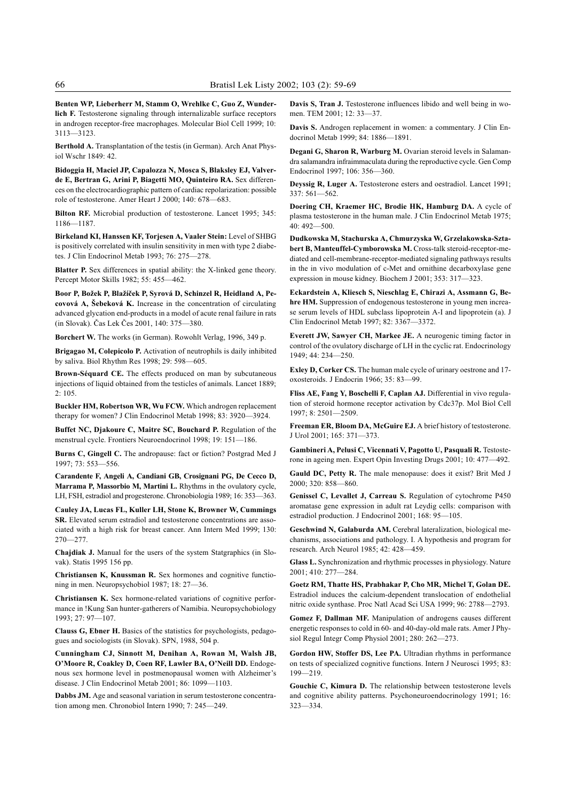Benten WP, Lieberherr M, Stamm O, Wrehlke C, Guo Z, Wunderlich F. Testosterone signaling through internalizable surface receptors in androgen receptor-free macrophages. Molecular Biol Cell 1999; 10: 3113-3123.

Berthold A. Transplantation of the testis (in German). Arch Anat Physiol Wschr 1849: 42.

Bidoggia H, Maciel JP, Capalozza N, Mosca S, Blaksley EJ, Valverde E, Bertran G, Arini P, Biagetti MO, Quinteiro RA. Sex differences on the electrocardiographic pattern of cardiac repolarization: possible role of testosterone. Amer Heart J 2000; 140: 678-683.

Bilton RF. Microbial production of testosterone. Lancet 1995; 345: 1186-1187

Birkeland KI, Hanssen KF, Torjesen A, Vaaler Stein: Level of SHBG is positively correlated with insulin sensitivity in men with type 2 diabetes. J Clin Endocrinol Metab 1993; 76: 275-278.

Blatter P. Sex differences in spatial ability: the X-linked gene theory. Percept Motor Skills 1982; 55: 455-462.

Boor P, Božek P, Blažíček P, Syrová D, Schinzel R, Heidland A, Pecovová A, Šebeková K. Increase in the concentration of circulating advanced glycation end-products in a model of acute renal failure in rats (in Slovak). Čas Lek Čes 2001, 140: 375-380.

Borchert W. The works (in German). Rowohlt Verlag, 1996, 349 p.

Brigagao M, Colepicolo P. Activation of neutrophils is daily inhibited by saliva. Biol Rhythm Res 1998; 29:  $598 - 605$ .

Brown-Séquard CE. The effects produced on man by subcutaneous injections of liquid obtained from the testicles of animals. Lancet 1889;  $2.105$ 

Buckler HM, Robertson WR, Wu FCW. Which androgen replacement therapy for women? J Clin Endocrinol Metab 1998; 83: 3920-3924.

Buffet NC, Djakoure C, Maitre SC, Bouchard P. Regulation of the menstrual cycle. Frontiers Neuroendocrinol 1998; 19: 151-186.

Burns C, Gingell C. The andropause: fact or fiction? Postgrad Med J 1997; 73: 553-556.

Carandente F, Angeli A, Candiani GB, Crosignani PG, De Cecco D, Marrama P, Massorbio M, Martini L. Rhythms in the ovulatory cycle, LH, FSH, estradiol and progesterone. Chronobiologia 1989; 16: 353-363.

Cauley JA, Lucas FL, Kuller LH, Stone K, Browner W, Cummings SR. Elevated serum estradiol and testosterone concentrations are associated with a high risk for breast cancer. Ann Intern Med 1999; 130:  $270 - 277$ 

Chajdiak J. Manual for the users of the system Statgraphics (in Slovak). Statis 1995 156 pp.

Christiansen K, Knussman R. Sex hormones and cognitive functioning in men. Neuropsychobiol 1987; 18: 27-36.

Christiansen K. Sex hormone-related variations of cognitive performance in !Kung San hunter-gatherers of Namibia. Neuropsychobiology 1993; 27: 97-107.

Clauss G, Ebner H. Basics of the statistics for psychologists, pedagogues and sociologists (in Slovak). SPN, 1988, 504 p.

Cunningham CJ, Sinnott M, Denihan A, Rowan M, Walsh JB, O'Moore R, Coakley D, Coen RF, Lawler BA, O'Neill DD. Endogenous sex hormone level in postmenopausal women with Alzheimer's disease. J Clin Endocrinol Metab  $2001: 86: 1099 - 1103$ .

Dabbs JM. Age and seasonal variation in serum testosterone concentration among men. Chronobiol Intern 1990; 7: 245-249.

Davis S, Tran J. Testosterone influences libido and well being in women. TEM 2001; 12: 33-37.

Davis S. Androgen replacement in women: a commentary. J Clin Endocrinol Metab 1999; 84: 1886-1891.

Degani G, Sharon R, Warburg M. Ovarian steroid levels in Salamandra salamandra infraimmaculata during the reproductive cycle. Gen Comp Endocrinol 1997; 106: 356-360.

Deyssig R, Luger A. Testosterone esters and oestradiol. Lancet 1991;  $337:561 - 562.$ 

Doering CH, Kraemer HC, Brodie HK, Hamburg DA. A cycle of plasma testosterone in the human male. J Clin Endocrinol Metab 1975;  $40:492 - 500.$ 

Dudkowska M, Stachurska A, Chmurzyska W, Grzelakowska-Sztabert B, Manteuffel-Cymborowska M. Cross-talk steroid-receptor-mediated and cell-membrane-receptor-mediated signaling pathways results in the in vivo modulation of c-Met and ornithine decarboxylase gene expression in mouse kidney. Biochem J 2001; 353: 317-323.

Eckardstein A, Kliesch S, Nieschlag E, Chirazi A, Assmann G, Behre HM. Suppression of endogenous testosterone in young men increase serum levels of HDL subclass lipoprotein A-I and lipoprotein (a). J Clin Endocrinol Metab 1997; 82: 3367-3372.

Everett JW, Sawyer CH, Markee JE. A neurogenic timing factor in control of the ovulatory discharge of LH in the cyclic rat. Endocrinology  $1949 \cdot 44 \cdot 234 - 250$ 

Exley D, Corker CS. The human male cycle of urinary oestrone and 17 oxosteroids. J Endocrin 1966; 35: 83-99.

Fliss AE, Fang Y, Boschelli F, Caplan AJ. Differential in vivo regulation of steroid hormone receptor activation by Cdc37p. Mol Biol Cell 1997; 8: 2501-2509.

Freeman ER, Bloom DA, McGuire EJ. A brief history of testosterone. J Urol 2001; 165: 371-373.

Gambineri A, Pelusi C, Vicennati V, Pagotto U, Pasquali R. Testosterone in ageing men. Expert Opin Investing Drugs 2001; 10: 477-492.

Gauld DC, Petty R. The male menopause: does it exist? Brit Med J 2000; 320: 858-860.

Genissel C, Levallet J, Carreau S. Regulation of cytochrome P450 aromatase gene expression in adult rat Leydig cells: comparison with estradiol production. J Endocrinol 2001; 168: 95-105.

Geschwind N, Galaburda AM. Cerebral lateralization, biological mechanisms, associations and pathology. I. A hypothesis and program for research. Arch Neurol 1985; 42: 428-459.

Glass L. Synchronization and rhythmic processes in physiology. Nature 2001: 410: 277-284.

Goetz RM, Thatte HS, Prabhakar P, Cho MR, Michel T, Golan DE. Estradiol induces the calcium-dependent translocation of endothelial nitric oxide synthase. Proc Natl Acad Sci USA 1999; 96: 2788-2793.

Gomez F, Dallman MF. Manipulation of androgens causes different energetic responses to cold in 60- and 40-day-old male rats. Amer J Physiol Regul Integr Comp Physiol 2001; 280:  $262 - 273$ .

Gordon HW, Stoffer DS, Lee PA. Ultradian rhythms in performance on tests of specialized cognitive functions. Intern J Neurosci 1995; 83:  $199 - 219$ .

Gouchie C, Kimura D. The relationship between testosterone levels and cognitive ability patterns. Psychoneuroendocrinology 1991; 16:  $323 - 334$ .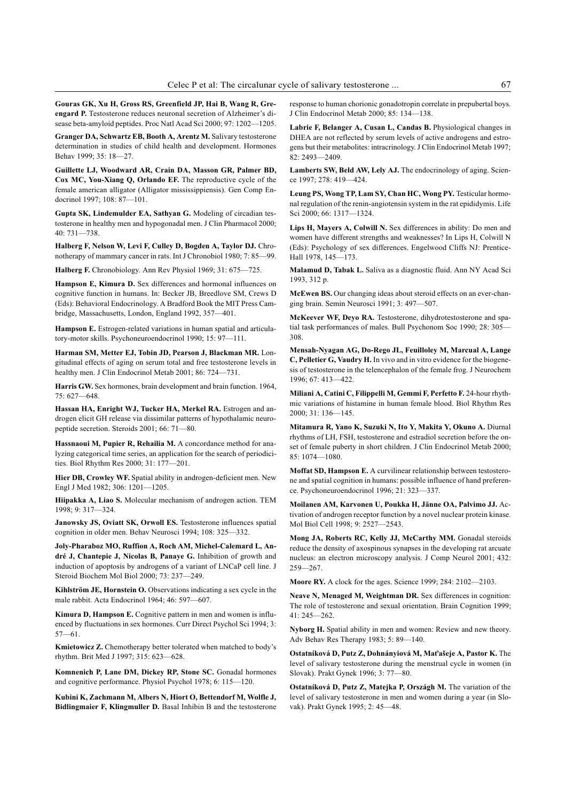Gouras GK, Xu H, Gross RS, Greenfield JP, Hai B, Wang R, Greengard P. Testosterone reduces neuronal secretion of Alzheimer's disease beta-amyloid peptides. Proc Natl Acad Sci 2000; 97: 1202-1205.

Granger DA, Schwartz EB, Booth A, Arentz M. Salivary testosterone determination in studies of child health and development. Hormones Behav 1999: 35: 18-27

Guillette LJ, Woodward AR, Crain DA, Masson GR, Palmer BD, Cox MC, You-Xiang Q, Orlando EF. The reproductive cycle of the female american alligator (Alligator mississippiensis). Gen Comp Endocrinol 1997; 108: 87-101.

Gupta SK, Lindemulder EA, Sathyan G. Modeling of circadian testosterone in healthy men and hypogonadal men. J Clin Pharmacol 2000; 40: 731-738.

Halberg F, Nelson W, Levi F, Culley D, Bogden A, Taylor DJ. Chronotherapy of mammary cancer in rats. Int J Chronobiol 1980; 7: 85-99.

Halberg F. Chronobiology. Ann Rev Physiol 1969; 31: 675-725.

Hampson E, Kimura D. Sex differences and hormonal influences on cognitive function in humans. In: Becker JB, Breedlove SM, Crews D (Eds): Behavioral Endocrinology. A Bradford Book the MIT Press Cambridge, Massachusetts, London, England 1992, 357-401.

Hampson E. Estrogen-related variations in human spatial and articulatory-motor skills. Psychoneuroendocrinol 1990; 15: 97-111.

Harman SM, Metter EJ, Tobin JD, Pearson J, Blackman MR. Longitudinal effects of aging on serum total and free testosterone levels in healthy men. J Clin Endocrinol Metab 2001; 86: 724-731.

Harris GW. Sex hormones, brain development and brain function. 1964,  $75:627 - 648.$ 

Hassan HA, Enright WJ, Tucker HA, Merkel RA. Estrogen and androgen elicit GH release via dissimilar patterns of hypothalamic neuropeptide secretion. Steroids 2001; 66: 71-80.

Hassnaoui M, Pupier R, Rehailia M. A concordance method for analyzing categorical time series, an application for the search of periodicities. Biol Rhythm Res 2000; 31: 177-201.

Hier DB, Crowley WF. Spatial ability in androgen-deficient men. New Engl J Med 1982; 306: 1201-1205.

Hiipakka A, Liao S. Molecular mechanism of androgen action. TEM 1998; 9: 317-324.

Janowsky JS, Oviatt SK, Orwoll ES. Testosterone influences spatial cognition in older men. Behav Neurosci 1994; 108: 325-332.

Joly-Pharaboz MO, Ruffion A, Roch AM, Michel-Calemard L, André J, Chantepie J, Nicolas B, Panaye G. Inhibition of growth and induction of apoptosis by androgens of a variant of LNCaP cell line. J Steroid Biochem Mol Biol 2000; 73: 237-249.

Kihlström JE, Hornstein O. Observations indicating a sex cycle in the male rabbit. Acta Endocrinol 1964; 46: 597-607.

Kimura D, Hampson E. Cognitive pattern in men and women is influenced by fluctuations in sex hormones. Curr Direct Psychol Sci 1994; 3:  $57 - 61$ 

Kmietowicz Z. Chemotherapy better tolerated when matched to body's rhythm. Brit Med J 1997; 315: 623-628.

Komnenich P, Lane DM, Dickey RP, Stone SC. Gonadal hormones and cognitive performance. Physiol Psychol 1978; 6: 115-120.

Kubini K, Zachmann M, Albers N, Hiort O, Bettendorf M, Wolfle J, Bidlingmaier F, Klingmuller D. Basal Inhibin B and the testosterone response to human chorionic gonadotropin correlate in prepubertal boys. J Clin Endocrinol Metab 2000; 85: 134-138.

Labrie F, Belanger A, Cusan L, Candas B. Physiological changes in DHEA are not reflected by serum levels of active androgens and estrogens but their metabolites: intracrinology. J Clin Endocrinol Metab 1997;  $82: 2493 - 2409$ 

Lamberts SW, Beld AW, Lely AJ. The endocrinology of aging. Science 1997; 278: 419-424.

Leung PS, Wong TP, Lam SY, Chan HC, Wong PY. Testicular hormonal regulation of the renin-angiotensin system in the rat epididymis. Life Sci 2000; 66: 1317-1324.

Lips H, Mayers A, Colwill N. Sex differences in ability: Do men and women have different strengths and weaknesses? In Lips H, Colwill N (Eds): Psychology of sex differences. Engelwood Cliffs NJ: Prentice-Hall 1978, 145-173.

Malamud D, Tabak L. Saliva as a diagnostic fluid. Ann NY Acad Sci 1993, 312 p.

McEwen BS. Our changing ideas about steroid effects on an ever-changing brain. Semin Neurosci 1991; 3: 497-507.

McKeever WF, Deyo RA. Testosterone, dihydrotestosterone and spatial task performances of males. Bull Psychonom Soc 1990; 28: 305 308.

Mensah-Nyagan AG, Do-Rego JL, Feuilloley M, Marcual A, Lange C, Pelletier G, Vaudry H. In vivo and in vitro evidence for the biogenesis of testosterone in the telencephalon of the female frog. J Neurochem 1996; 67: 413-422.

Miliani A, Catini C, Filippelli M, Gemmi F, Perfetto F. 24-hour rhythmic variations of histamine in human female blood. Biol Rhythm Res 2000; 31: 136-145.

Mitamura R, Yano K, Suzuki N, Ito Y, Makita Y, Okuno A. Diurnal rhythms of LH, FSH, testosterone and estradiol secretion before the onset of female puberty in short children. J Clin Endocrinol Metab 2000; 85: 1074-1080.

Moffat SD, Hampson E. A curvilinear relationship between testosterone and spatial cognition in humans: possible influence of hand preference. Psychoneuroendocrinol 1996; 21: 323-337.

Moilanen AM, Karvonen U, Poukka H, Jänne OA, Palvimo JJ. Activation of androgen receptor function by a novel nuclear protein kinase. Mol Biol Cell 1998; 9: 2527-2543.

Mong JA, Roberts RC, Kelly JJ, McCarthy MM. Gonadal steroids reduce the density of axospinous synapses in the developing rat arcuate nucleus: an electron microscopy analysis. J Comp Neurol 2001; 432: 259-267.

Moore RY. A clock for the ages. Science 1999; 284: 2102-2103.

Neave N, Menaged M, Weightman DR. Sex differences in cognition: The role of testosterone and sexual orientation. Brain Cognition 1999; 41: 245-262.

Nyborg H. Spatial ability in men and women: Review and new theory. Adv Behav Res Therapy 1983; 5: 89-140.

Ostatníková D, Putz Z, Dohnányiová M, Maťašeje A, Pastor K. The level of salivary testosterone during the menstrual cycle in women (in Slovak). Prakt Gynek 1996: 3: 77-80.

Ostatníková D, Putz Z, Matejka P, Országh M. The variation of the level of salivary testosterone in men and women during a year (in Slovak). Prakt Gynek 1995; 2: 45-48.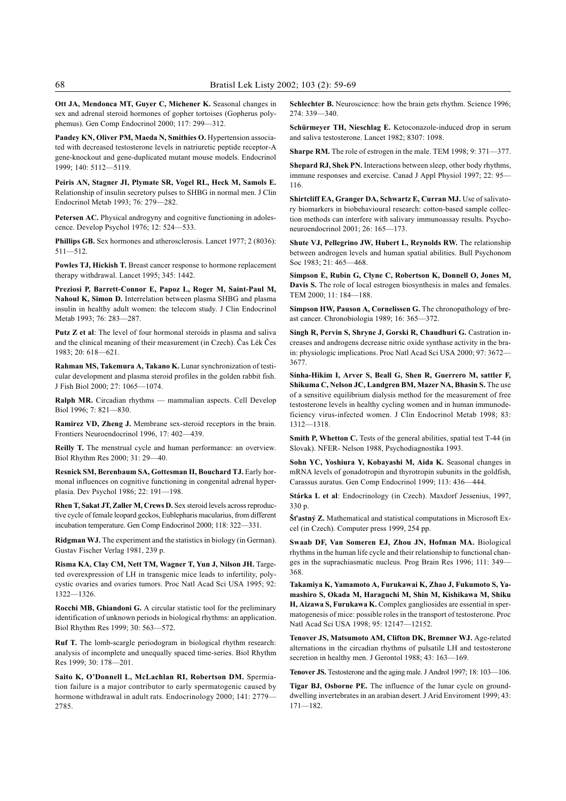Ott JA, Mendonca MT, Guyer C, Michener K. Seasonal changes in sex and adrenal steroid hormones of gopher tortoises (Gopherus polyphemus). Gen Comp Endocrinol 2000; 117: 299-312.

Pandey KN, Oliver PM, Maeda N, Smithies O. Hypertension associated with decreased testosterone levels in natriuretic peptide receptor-A gene-knockout and gene-duplicated mutant mouse models. Endocrinol 1999; 140: 5112-5119.

Peiris AN, Stagner JI, Plymate SR, Vogel RL, Heck M, Samols E. Relationship of insulin secretory pulses to SHBG in normal men. J Clin Endocrinol Metab 1993; 76: 279-282.

Petersen AC. Physical androgyny and cognitive functioning in adolescence. Develop Psychol 1976; 12: 524-533.

Phillips GB. Sex hormones and atherosclerosis. Lancet 1977; 2 (8036):  $511 - 512$ .

Powles TJ, Hickish T. Breast cancer response to hormone replacement therapy withdrawal. Lancet 1995; 345: 1442.

Preziosi P, Barrett-Connor E, Papoz L, Roger M, Saint-Paul M, Nahoul K, Simon D. Interrelation between plasma SHBG and plasma insulin in healthy adult women: the telecom study. J Clin Endocrinol Metab 1993; 76: 283-287.

Putz Z et al: The level of four hormonal steroids in plasma and saliva and the clinical meaning of their measurement (in Czech). Èas Lék Èes 1983; 20: 618-621.

Rahman MS, Takemura A, Takano K. Lunar synchronization of testicular development and plasma steroid profiles in the golden rabbit fish. J Fish Biol 2000; 27: 1065-1074.

Ralph MR. Circadian rhythms - mammalian aspects. Cell Develop Biol 1996; 7: 821-830.

Ramirez VD, Zheng J. Membrane sex-steroid receptors in the brain. Frontiers Neuroendocrinol 1996, 17: 402-439.

Reilly T. The menstrual cycle and human performance: an overview. Biol Rhythm Res 2000; 31: 29-40.

Resnick SM, Berenbaum SA, Gottesman II, Bouchard TJ. Early hormonal influences on cognitive functioning in congenital adrenal hyperplasia. Dev Psychol 1986; 22: 191-198.

Rhen T, Sakat JT, Zaller M, Crews D. Sex steroid levels across reproductive cycle of female leopard geckos, Eublepharis macularius, from different incubation temperature. Gen Comp Endocrinol 2000; 118: 322-331.

Ridgman WJ. The experiment and the statistics in biology (in German). Gustav Fischer Verlag 1981, 239 p.

Risma KA, Clay CM, Nett TM, Wagner T, Yun J, Nilson JH. Targeted overexpression of LH in transgenic mice leads to infertility, polycystic ovaries and ovaries tumors. Proc Natl Acad Sci USA 1995; 92: 1322-1326

Rocchi MB, Ghiandoni G. A circular statistic tool for the preliminary identification of unknown periods in biological rhythms: an application. Biol Rhythm Res 1999; 30: 563-572.

Ruf T. The lomb-scargle periodogram in biological rhythm research: analysis of incomplete and unequally spaced time-series. Biol Rhythm Res 1999; 30: 178-201.

Saito K, O'Donnell L, McLachlan RI, Robertson DM. Spermiation failure is a major contributor to early spermatogenic caused by hormone withdrawal in adult rats. Endocrinology 2000; 141: 2779-2785.

Schlechter B. Neuroscience: how the brain gets rhythm. Science 1996; 274: 339-340.

Schürmeyer TH, Nieschlag E. Ketoconazole-induced drop in serum and saliva testosterone. Lancet 1982; 8307: 1098.

Sharpe RM. The role of estrogen in the male. TEM 1998; 9: 371-377.

Shepard RJ, Shek PN. Interactions between sleep, other body rhythms, immune responses and exercise. Canad J Appl Physiol 1997; 22: 95 116.

Shirtcliff EA, Granger DA, Schwartz E, Curran MJ. Use of salivatory biomarkers in biobehavioural research: cotton-based sample collection methods can interfere with salivary immunoassay results. Psychoneuroendocrinol 2001; 26: 165-173.

Shute VJ, Pellegrino JW, Hubert L, Reynolds RW. The relationship between androgen levels and human spatial abilities. Bull Psychonom Soc 1983; 21: 465-468.

Simpson E, Rubin G, Clyne C, Robertson K, Donnell O, Jones M, Davis S. The role of local estrogen biosynthesis in males and females. TEM 2000; 11: 184-188.

Simpson HW, Pauson A, Cornelissen G. The chronopathology of breast cancer. Chronobiologia 1989; 16: 365-372.

Singh R, Pervin S, Shryne J, Gorski R, Chaudhuri G. Castration increases and androgens decrease nitric oxide synthase activity in the brain: physiologic implications. Proc Natl Acad Sci USA 2000; 97: 3672 3677.

Sinha-Hikim I, Arver S, Beall G, Shen R, Guerrero M, sattler F, Shikuma C, Nelson JC, Landgren BM, Mazer NA, Bhasin S. The use of a sensitive equilibrium dialysis method for the measurement of free testosterone levels in healthy cycling women and in human immunodeficiency virus-infected women. J Clin Endocrinol Metab 1998; 83:  $1312 - 1318.$ 

Smith P, Whetton C. Tests of the general abilities, spatial test T-44 (in Slovak). NFER- Nelson 1988, Psychodiagnostika 1993.

Sohn YC, Yoshiura Y, Kobayashi M, Aida K. Seasonal changes in mRNA levels of gonadotropin and thyrotropin subunits in the goldfish, Carassus auratus. Gen Comp Endocrinol 1999; 113: 436-444.

Stárka L et al: Endocrinology (in Czech). Maxdorf Jessenius, 1997, 330 p.

 $\textbf{S}$ t'astný Z. Mathematical and statistical computations in Microsoft Excel (in Czech). Computer press 1999, 254 pp.

Swaab DF, Van Someren EJ, Zhou JN, Hofman MA. Biological rhythms in the human life cycle and their relationship to functional changes in the suprachiasmatic nucleus. Prog Brain Res 1996; 111: 349 368.

Takamiya K, Yamamoto A, Furukawai K, Zhao J, Fukumoto S, Yamashiro S, Okada M, Haraguchi M, Shin M, Kishikawa M, Shiku H, Aizawa S, Furukawa K. Complex gangliosides are essential in spermatogenesis of mice: possible roles in the transport of testosterone. Proc Natl Acad Sci USA 1998; 95: 12147-12152.

Tenover JS, Matsumoto AM, Clifton DK, Bremner WJ. Age-related alternations in the circadian rhythms of pulsatile LH and testosterone secretion in healthy men. J Gerontol 1988; 43: 163-169.

Tenover JS. Testosterone and the aging male. J Androl 1997; 18: 103-106.

Tigar BJ, Osborne PE. The influence of the lunar cycle on grounddwelling invertebrates in an arabian desert. J Arid Enviroment 1999; 43:  $171 - 182$